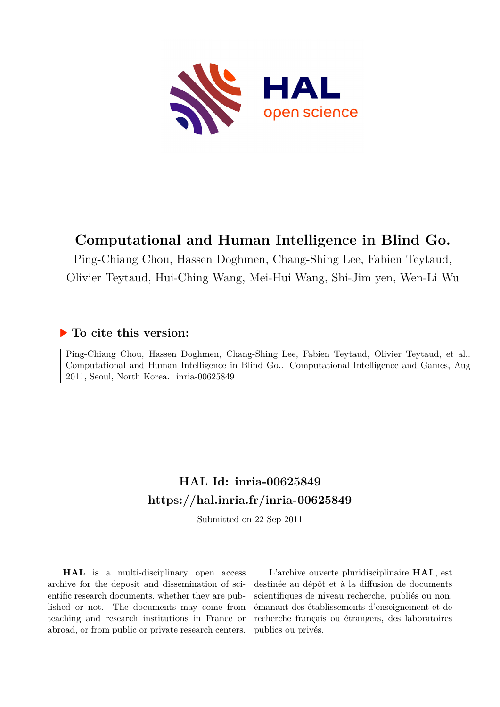

# **Computational and Human Intelligence in Blind Go.**

Ping-Chiang Chou, Hassen Doghmen, Chang-Shing Lee, Fabien Teytaud, Olivier Teytaud, Hui-Ching Wang, Mei-Hui Wang, Shi-Jim yen, Wen-Li Wu

## **To cite this version:**

Ping-Chiang Chou, Hassen Doghmen, Chang-Shing Lee, Fabien Teytaud, Olivier Teytaud, et al.. Computational and Human Intelligence in Blind Go.. Computational Intelligence and Games, Aug 2011, Seoul, North Korea. inria-00625849

# **HAL Id: inria-00625849 <https://hal.inria.fr/inria-00625849>**

Submitted on 22 Sep 2011

**HAL** is a multi-disciplinary open access archive for the deposit and dissemination of scientific research documents, whether they are published or not. The documents may come from teaching and research institutions in France or abroad, or from public or private research centers.

L'archive ouverte pluridisciplinaire **HAL**, est destinée au dépôt et à la diffusion de documents scientifiques de niveau recherche, publiés ou non, émanant des établissements d'enseignement et de recherche français ou étrangers, des laboratoires publics ou privés.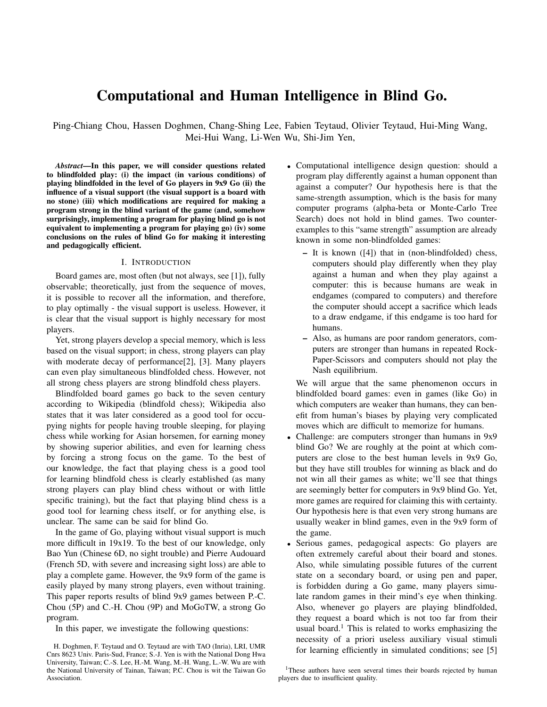## Computational and Human Intelligence in Blind Go.

Ping-Chiang Chou, Hassen Doghmen, Chang-Shing Lee, Fabien Teytaud, Olivier Teytaud, Hui-Ming Wang, Mei-Hui Wang, Li-Wen Wu, Shi-Jim Yen,

*Abstract*—In this paper, we will consider questions related to blindfolded play: (i) the impact (in various conditions) of playing blindfolded in the level of Go players in 9x9 Go (ii) the influence of a visual support (the visual support is a board with no stone) (iii) which modifications are required for making a program strong in the blind variant of the game (and, somehow surprisingly, implementing a program for playing blind go is not equivalent to implementing a program for playing go) (iv) some conclusions on the rules of blind Go for making it interesting and pedagogically efficient.

## I. INTRODUCTION

Board games are, most often (but not always, see [1]), fully observable; theoretically, just from the sequence of moves, it is possible to recover all the information, and therefore, to play optimally - the visual support is useless. However, it is clear that the visual support is highly necessary for most players.

Yet, strong players develop a special memory, which is less based on the visual support; in chess, strong players can play with moderate decay of performance[2], [3]. Many players can even play simultaneous blindfolded chess. However, not all strong chess players are strong blindfold chess players.

Blindfolded board games go back to the seven century according to Wikipedia (blindfold chess); Wikipedia also states that it was later considered as a good tool for occupying nights for people having trouble sleeping, for playing chess while working for Asian horsemen, for earning money by showing superior abilities, and even for learning chess by forcing a strong focus on the game. To the best of our knowledge, the fact that playing chess is a good tool for learning blindfold chess is clearly established (as many strong players can play blind chess without or with little specific training), but the fact that playing blind chess is a good tool for learning chess itself, or for anything else, is unclear. The same can be said for blind Go.

In the game of Go, playing without visual support is much more difficult in 19x19. To the best of our knowledge, only Bao Yun (Chinese 6D, no sight trouble) and Pierre Audouard (French 5D, with severe and increasing sight loss) are able to play a complete game. However, the 9x9 form of the game is easily played by many strong players, even without training. This paper reports results of blind 9x9 games between P.-C. Chou (5P) and C.-H. Chou (9P) and MoGoTW, a strong Go program.

In this paper, we investigate the following questions:

- Computational intelligence design question: should a program play differently against a human opponent than against a computer? Our hypothesis here is that the same-strength assumption, which is the basis for many computer programs (alpha-beta or Monte-Carlo Tree Search) does not hold in blind games. Two counterexamples to this "same strength" assumption are already known in some non-blindfolded games:
	- It is known ([4]) that in (non-blindfolded) chess, computers should play differently when they play against a human and when they play against a computer: this is because humans are weak in endgames (compared to computers) and therefore the computer should accept a sacrifice which leads to a draw endgame, if this endgame is too hard for humans.
	- Also, as humans are poor random generators, computers are stronger than humans in repeated Rock-Paper-Scissors and computers should not play the Nash equilibrium.

We will argue that the same phenomenon occurs in blindfolded board games: even in games (like Go) in which computers are weaker than humans, they can benefit from human's biases by playing very complicated moves which are difficult to memorize for humans.

- Challenge: are computers stronger than humans in 9x9 blind Go? We are roughly at the point at which computers are close to the best human levels in 9x9 Go, but they have still troubles for winning as black and do not win all their games as white; we'll see that things are seemingly better for computers in 9x9 blind Go. Yet, more games are required for claiming this with certainty. Our hypothesis here is that even very strong humans are usually weaker in blind games, even in the 9x9 form of the game.
- Serious games, pedagogical aspects: Go players are often extremely careful about their board and stones. Also, while simulating possible futures of the current state on a secondary board, or using pen and paper, is forbidden during a Go game, many players simulate random games in their mind's eye when thinking. Also, whenever go players are playing blindfolded, they request a board which is not too far from their usual board.<sup>1</sup> This is related to works emphasizing the necessity of a priori useless auxiliary visual stimuli for learning efficiently in simulated conditions; see [5]

<sup>1</sup>These authors have seen several times their boards rejected by human players due to insufficient quality.

H. Doghmen, F. Teytaud and O. Teytaud are with TAO (Inria), LRI, UMR Cnrs 8623 Univ. Paris-Sud, France; S.-J. Yen is with the National Dong Hwa University, Taiwan; C.-S. Lee, H.-M. Wang, M.-H. Wang, L.-W. Wu are with the National University of Tainan, Taiwan; P.C. Chou is wit the Taiwan Go Association.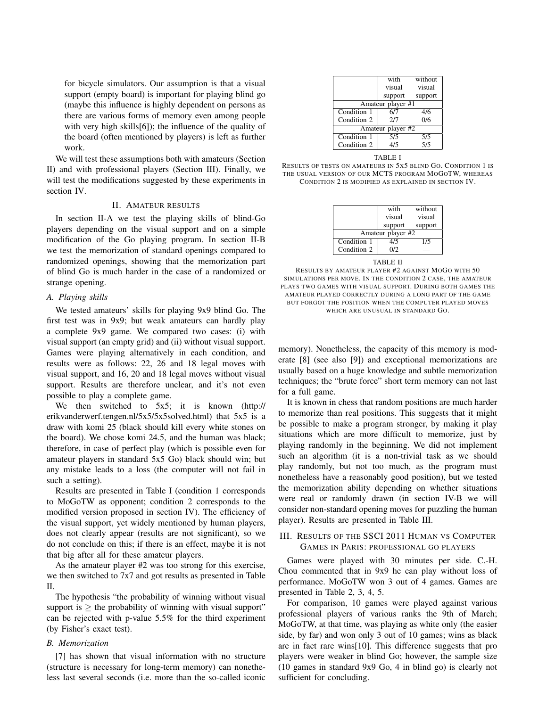for bicycle simulators. Our assumption is that a visual support (empty board) is important for playing blind go (maybe this influence is highly dependent on persons as there are various forms of memory even among people with very high skills[6]); the influence of the quality of the board (often mentioned by players) is left as further work.

We will test these assumptions both with amateurs (Section II) and with professional players (Section III). Finally, we will test the modifications suggested by these experiments in section IV.

## II. AMATEUR RESULTS

In section II-A we test the playing skills of blind-Go players depending on the visual support and on a simple modification of the Go playing program. In section II-B we test the memorization of standard openings compared to randomized openings, showing that the memorization part of blind Go is much harder in the case of a randomized or strange opening.

### *A. Playing skills*

We tested amateurs' skills for playing 9x9 blind Go. The first test was in 9x9; but weak amateurs can hardly play a complete 9x9 game. We compared two cases: (i) with visual support (an empty grid) and (ii) without visual support. Games were playing alternatively in each condition, and results were as follows: 22, 26 and 18 legal moves with visual support, and 16, 20 and 18 legal moves without visual support. Results are therefore unclear, and it's not even possible to play a complete game.

We then switched to 5x5; it is known (http:// erikvanderwerf.tengen.nl/5x5/5x5solved.html) that 5x5 is a draw with komi 25 (black should kill every white stones on the board). We chose komi 24.5, and the human was black; therefore, in case of perfect play (which is possible even for amateur players in standard 5x5 Go) black should win; but any mistake leads to a loss (the computer will not fail in such a setting).

Results are presented in Table I (condition 1 corresponds to MoGoTW as opponent; condition 2 corresponds to the modified version proposed in section IV). The efficiency of the visual support, yet widely mentioned by human players, does not clearly appear (results are not significant), so we do not conclude on this; if there is an effect, maybe it is not that big after all for these amateur players.

As the amateur player #2 was too strong for this exercise, we then switched to 7x7 and got results as presented in Table II.

The hypothesis "the probability of winning without visual support is  $\geq$  the probability of winning with visual support" can be rejected with p-value 5.5% for the third experiment (by Fisher's exact test).

## *B. Memorization*

[7] has shown that visual information with no structure (structure is necessary for long-term memory) can nonetheless last several seconds (i.e. more than the so-called iconic

| with              | without |  |  |  |  |  |
|-------------------|---------|--|--|--|--|--|
| visual            | visual  |  |  |  |  |  |
| support           | support |  |  |  |  |  |
| Amateur player #1 |         |  |  |  |  |  |
| 6/7               | 4/6     |  |  |  |  |  |
| 2/7               | 0/6     |  |  |  |  |  |
| Amateur player #2 |         |  |  |  |  |  |
| 5/5               | 5/5     |  |  |  |  |  |
| 4/5               | 5/5     |  |  |  |  |  |
|                   |         |  |  |  |  |  |

TABLE I

RESULTS OF TESTS ON AMATEURS IN 5X5 BLIND GO. CONDITION 1 IS THE USUAL VERSION OF OUR MCTS PROGRAM MOGOTW, WHEREAS CONDITION 2 IS MODIFIED AS EXPLAINED IN SECTION IV.

|                   | with    | without |  |  |  |  |
|-------------------|---------|---------|--|--|--|--|
|                   | visual  | visual  |  |  |  |  |
|                   | support | support |  |  |  |  |
| Amateur player #2 |         |         |  |  |  |  |
| Condition 1       | 4/5     | 1/5     |  |  |  |  |
| Condition 2       | 0/2     |         |  |  |  |  |

TABLE II

RESULTS BY AMATEUR PLAYER #2 AGAINST MOGO WITH 50 SIMULATIONS PER MOVE. IN THE CONDITION 2 CASE, THE AMATEUR PLAYS TWO GAMES WITH VISUAL SUPPORT. DURING BOTH GAMES THE AMATEUR PLAYED CORRECTLY DURING A LONG PART OF THE GAME BUT FORGOT THE POSITION WHEN THE COMPUTER PLAYED MOVES WHICH ARE UNUSUAL IN STANDARD GO.

memory). Nonetheless, the capacity of this memory is moderate [8] (see also [9]) and exceptional memorizations are usually based on a huge knowledge and subtle memorization techniques; the "brute force" short term memory can not last for a full game.

It is known in chess that random positions are much harder to memorize than real positions. This suggests that it might be possible to make a program stronger, by making it play situations which are more difficult to memorize, just by playing randomly in the beginning. We did not implement such an algorithm (it is a non-trivial task as we should play randomly, but not too much, as the program must nonetheless have a reasonably good position), but we tested the memorization ability depending on whether situations were real or randomly drawn (in section IV-B we will consider non-standard opening moves for puzzling the human player). Results are presented in Table III.

## III. RESULTS OF THE SSCI 2011 HUMAN VS COMPUTER GAMES IN PARIS: PROFESSIONAL GO PLAYERS

Games were played with 30 minutes per side. C.-H. Chou commented that in 9x9 he can play without loss of performance. MoGoTW won 3 out of 4 games. Games are presented in Table 2, 3, 4, 5.

For comparison, 10 games were played against various professional players of various ranks the 9th of March; MoGoTW, at that time, was playing as white only (the easier side, by far) and won only 3 out of 10 games; wins as black are in fact rare wins[10]. This difference suggests that pro players were weaker in blind Go; however, the sample size (10 games in standard 9x9 Go, 4 in blind go) is clearly not sufficient for concluding.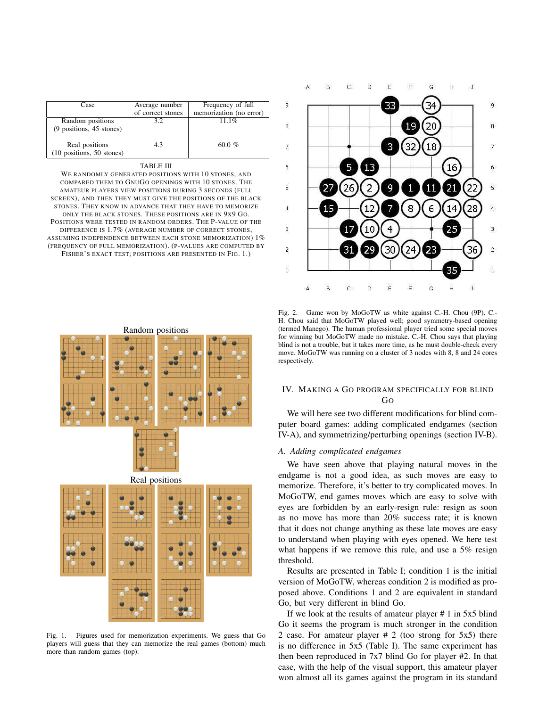| Case                                          | Average number<br>of correct stones | Frequency of full<br>memorization (no error) |
|-----------------------------------------------|-------------------------------------|----------------------------------------------|
| Random positions<br>(9 positions, 45 stones)  | 32                                  | $11.1\%$                                     |
| Real positions<br>$(10$ positions, 50 stones) | 4.3                                 | 60.0 %                                       |

#### TABLE III

WE RANDOMLY GENERATED POSITIONS WITH 10 STONES, AND COMPARED THEM TO GNUGO OPENINGS WITH 10 STONES. THE AMATEUR PLAYERS VIEW POSITIONS DURING 3 SECONDS (FULL SCREEN), AND THEN THEY MUST GIVE THE POSITIONS OF THE BLACK STONES. THEY KNOW IN ADVANCE THAT THEY HAVE TO MEMORIZE ONLY THE BLACK STONES. THESE POSITIONS ARE IN 9X9 GO. POSITIONS WERE TESTED IN RANDOM ORDERS. THE P-VALUE OF THE DIFFERENCE IS 1.7% (AVERAGE NUMBER OF CORRECT STONES, ASSUMING INDEPENDENCE BETWEEN EACH STONE MEMORIZATION)  $1\%$ (FREQUENCY OF FULL MEMORIZATION). (P-VALUES ARE COMPUTED BY

FISHER'S EXACT TEST; POSITIONS ARE PRESENTED IN FIG. 1.)



Fig. 1. Figures used for memorization experiments. We guess that Go players will guess that they can memorize the real games (bottom) much more than random games (top).



Fig. 2. Game won by MoGoTW as white against C.-H. Chou (9P). C.- H. Chou said that MoGoTW played well; good symmetry-based opening (termed Manego). The human professional player tried some special moves for winning but MoGoTW made no mistake. C.-H. Chou says that playing blind is not a trouble, but it takes more time, as he must double-check every move. MoGoTW was running on a cluster of 3 nodes with 8, 8 and 24 cores respectively.

## IV. MAKING A GO PROGRAM SPECIFICALLY FOR BLIND GO

We will here see two different modifications for blind computer board games: adding complicated endgames (section IV-A), and symmetrizing/perturbing openings (section IV-B).

## *A. Adding complicated endgames*

We have seen above that playing natural moves in the endgame is not a good idea, as such moves are easy to memorize. Therefore, it's better to try complicated moves. In MoGoTW, end games moves which are easy to solve with eyes are forbidden by an early-resign rule: resign as soon as no move has more than 20% success rate; it is known that it does not change anything as these late moves are easy to understand when playing with eyes opened. We here test what happens if we remove this rule, and use a 5% resign threshold.

Results are presented in Table I; condition 1 is the initial version of MoGoTW, whereas condition 2 is modified as proposed above. Conditions 1 and 2 are equivalent in standard Go, but very different in blind Go.

If we look at the results of amateur player # 1 in 5x5 blind Go it seems the program is much stronger in the condition 2 case. For amateur player # 2 (too strong for 5x5) there is no difference in 5x5 (Table I). The same experiment has then been reproduced in 7x7 blind Go for player #2. In that case, with the help of the visual support, this amateur player won almost all its games against the program in its standard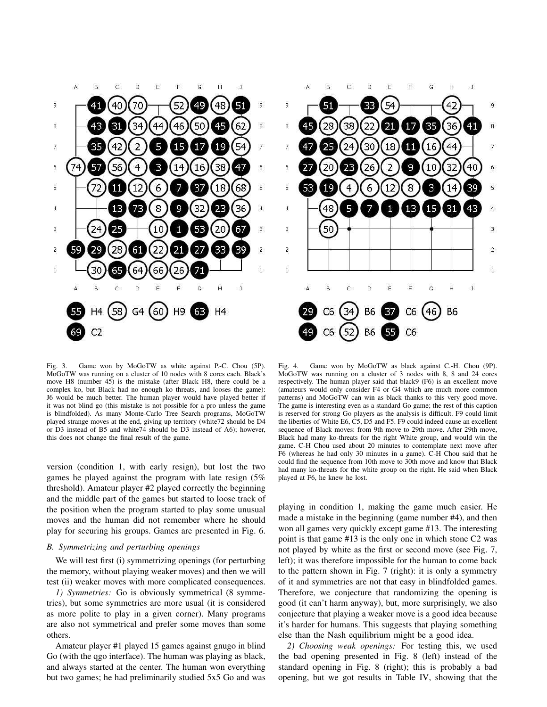

Fig. 3. Game won by MoGoTW as white against P.-C. Chou (5P). MoGoTW was running on a cluster of 10 nodes with 8 cores each. Black's move H8 (number 45) is the mistake (after Black H8, there could be a complex ko, but Black had no enough ko threats, and looses the game): J6 would be much better. The human player would have played better if it was not blind go (this mistake is not possible for a pro unless the game is blindfolded). As many Monte-Carlo Tree Search programs, MoGoTW played strange moves at the end, giving up territory (white72 should be D4 or D3 instead of B5 and white74 should be D3 instead of A6); however, this does not change the final result of the game.

version (condition 1, with early resign), but lost the two games he played against the program with late resign (5% threshold). Amateur player #2 played correctly the beginning and the middle part of the games but started to loose track of the position when the program started to play some unusual moves and the human did not remember where he should play for securing his groups. Games are presented in Fig. 6.

### *B. Symmetrizing and perturbing openings*

We will test first (i) symmetrizing openings (for perturbing the memory, without playing weaker moves) and then we will test (ii) weaker moves with more complicated consequences.

*1) Symmetries:* Go is obviously symmetrical (8 symmetries), but some symmetries are more usual (it is considered as more polite to play in a given corner). Many programs are also not symmetrical and prefer some moves than some others.

Amateur player #1 played 15 games against gnugo in blind Go (with the qgo interface). The human was playing as black, and always started at the center. The human won everything but two games; he had preliminarily studied 5x5 Go and was

Fig. 4. Game won by MoGoTW as black against C.-H. Chou (9P). MoGoTW was running on a cluster of 3 nodes with 8, 8 and 24 cores respectively. The human player said that black9 (F6) is an excellent move (amateurs would only consider F4 or G4 which are much more common patterns) and MoGoTW can win as black thanks to this very good move. The game is interesting even as a standard Go game; the rest of this caption is reserved for strong Go players as the analysis is difficult. F9 could limit the liberties of White E6, C5, D5 and F5. F9 could indeed cause an excellent sequence of Black moves: from 9th move to 29th move. After 29th move, Black had many ko-threats for the right White group, and would win the game. C-H Chou used about 20 minutes to contemplate next move after F6 (whereas he had only 30 minutes in a game). C-H Chou said that he could find the sequence from 10th move to 30th move and know that Black had many ko-threats for the white group on the right. He said when Black played at F6, he knew he lost.

playing in condition 1, making the game much easier. He made a mistake in the beginning (game number #4), and then won all games very quickly except game #13. The interesting point is that game #13 is the only one in which stone C2 was not played by white as the first or second move (see Fig. 7, left); it was therefore impossible for the human to come back to the pattern shown in Fig. 7 (right): it is only a symmetry of it and symmetries are not that easy in blindfolded games. Therefore, we conjecture that randomizing the opening is good (it can't harm anyway), but, more surprisingly, we also conjecture that playing a weaker move is a good idea because it's harder for humans. This suggests that playing something else than the Nash equilibrium might be a good idea.

*2) Choosing weak openings:* For testing this, we used the bad opening presented in Fig. 8 (left) instead of the standard opening in Fig. 8 (right); this is probably a bad opening, but we got results in Table IV, showing that the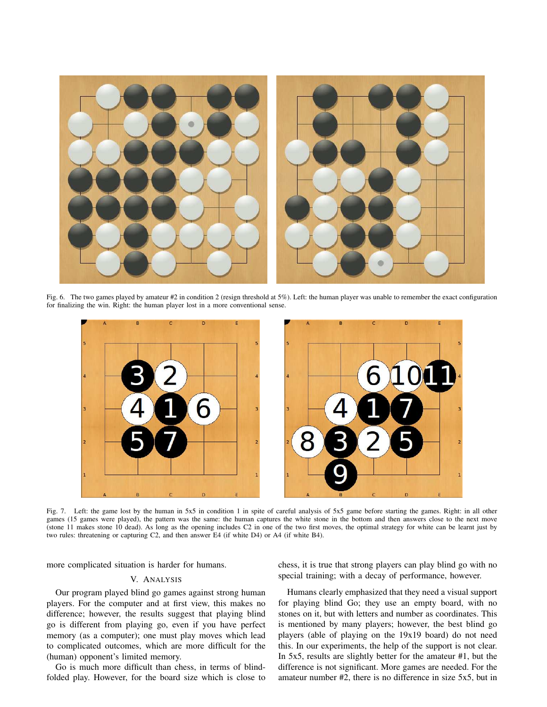

Fig. 6. The two games played by amateur #2 in condition 2 (resign threshold at 5%). Left: the human player was unable to remember the exact configuration for finalizing the win. Right: the human player lost in a more conventional sense.



Fig. 7. Left: the game lost by the human in 5x5 in condition 1 in spite of careful analysis of 5x5 game before starting the games. Right: in all other games (15 games were played), the pattern was the same: the human captures the white stone in the bottom and then answers close to the next move (stone 11 makes stone 10 dead). As long as the opening includes C2 in one of the two first moves, the optimal strategy for white can be learnt just by two rules: threatening or capturing C2, and then answer E4 (if white D4) or A4 (if white B4).

more complicated situation is harder for humans.

## V. ANALYSIS

Our program played blind go games against strong human players. For the computer and at first view, this makes no difference; however, the results suggest that playing blind go is different from playing go, even if you have perfect memory (as a computer); one must play moves which lead to complicated outcomes, which are more difficult for the (human) opponent's limited memory.

Go is much more difficult than chess, in terms of blindfolded play. However, for the board size which is close to chess, it is true that strong players can play blind go with no special training; with a decay of performance, however.

Humans clearly emphasized that they need a visual support for playing blind Go; they use an empty board, with no stones on it, but with letters and number as coordinates. This is mentioned by many players; however, the best blind go players (able of playing on the 19x19 board) do not need this. In our experiments, the help of the support is not clear. In 5x5, results are slightly better for the amateur #1, but the difference is not significant. More games are needed. For the amateur number #2, there is no difference in size 5x5, but in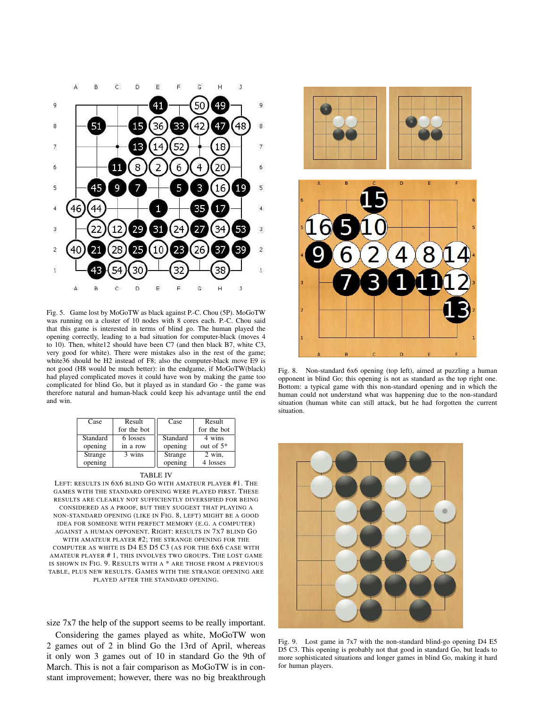

Fig. 5. Game lost by MoGoTW as black against P.-C. Chou (5P). MoGoTW was running on a cluster of 10 nodes with 8 cores each. P.-C. Chou said that this game is interested in terms of blind go. The human played the opening correctly, leading to a bad situation for computer-black (moves 4 to 10). Then, white12 should have been C7 (and then black B7, white C3, very good for white). There were mistakes also in the rest of the game; white36 should be H2 instead of F8; also the computer-black move E9 is not good (H8 would be much better): in the endgame, if MoGoTW(black) had played complicated moves it could have won by making the game too complicated for blind Go, but it played as in standard Go - the game was therefore natural and human-black could keep his advantage until the end and win.

| Case     | Result      | Case     | Result            |
|----------|-------------|----------|-------------------|
|          | for the bot |          | for the bot       |
| Standard | 6 losses    | Standard | 4 wins            |
| opening  | in a row    | opening  | out of $5*$       |
| Strange  | 3 wins      | Strange  | $2 \text{ win}$ , |
| opening  |             | opening  | 4 losses          |

#### TABLE IV

LEFT: RESULTS IN 6X6 BLIND GO WITH AMATEUR PLAYER #1. THE GAMES WITH THE STANDARD OPENING WERE PLAYED FIRST. THESE RESULTS ARE CLEARLY NOT SUFFICIENTLY DIVERSIFIED FOR BEING CONSIDERED AS A PROOF, BUT THEY SUGGEST THAT PLAYING A NON-STANDARD OPENING (LIKE IN FIG. 8, LEFT) MIGHT BE A GOOD IDEA FOR SOMEONE WITH PERFECT MEMORY (E.G. A COMPUTER) AGAINST A HUMAN OPPONENT. RIGHT: RESULTS IN 7X7 BLIND GO WITH AMATEUR PLAYER #2; THE STRANGE OPENING FOR THE COMPUTER AS WHITE IS D4 E5 D5 C3 (AS FOR THE 6X6 CASE WITH AMATEUR PLAYER # 1, THIS INVOLVES TWO GROUPS. THE LOST GAME IS SHOWN IN FIG. 9. RESULTS WITH A \* ARE THOSE FROM A PREVIOUS TABLE, PLUS NEW RESULTS. GAMES WITH THE STRANGE OPENING ARE PLAYED AFTER THE STANDARD OPENING.

size 7x7 the help of the support seems to be really important.

Considering the games played as white, MoGoTW won 2 games out of 2 in blind Go the 13rd of April, whereas it only won 3 games out of 10 in standard Go the 9th of March. This is not a fair comparison as MoGoTW is in constant improvement; however, there was no big breakthrough



Fig. 8. Non-standard 6x6 opening (top left), aimed at puzzling a human opponent in blind Go; this opening is not as standard as the top right one. Bottom: a typical game with this non-standard opening and in which the human could not understand what was happening due to the non-standard situation (human white can still attack, but he had forgotten the current situation.



Fig. 9. Lost game in 7x7 with the non-standard blind-go opening D4 E5 D5 C3. This opening is probably not that good in standard Go, but leads to more sophisticated situations and longer games in blind Go, making it hard for human players.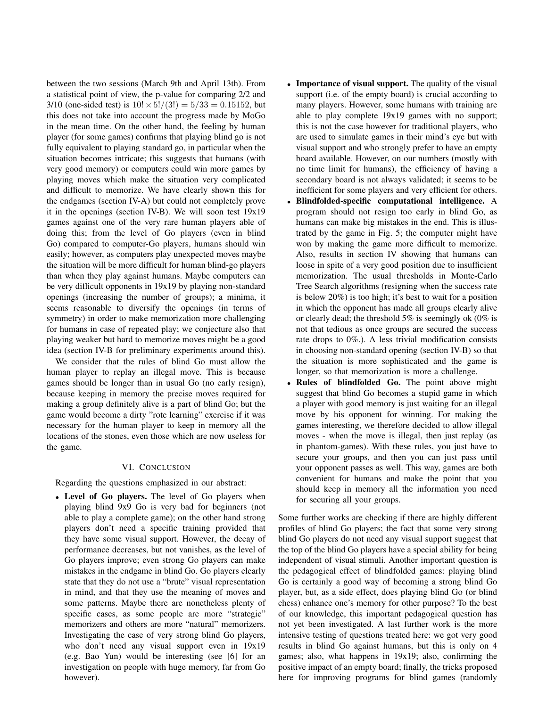between the two sessions (March 9th and April 13th). From a statistical point of view, the p-value for comparing 2/2 and 3/10 (one-sided test) is  $10! \times 5!/(3!) = 5/33 = 0.15152$ , but this does not take into account the progress made by MoGo in the mean time. On the other hand, the feeling by human player (for some games) confirms that playing blind go is not fully equivalent to playing standard go, in particular when the situation becomes intricate; this suggests that humans (with very good memory) or computers could win more games by playing moves which make the situation very complicated and difficult to memorize. We have clearly shown this for the endgames (section IV-A) but could not completely prove it in the openings (section IV-B). We will soon test 19x19 games against one of the very rare human players able of doing this; from the level of Go players (even in blind Go) compared to computer-Go players, humans should win easily; however, as computers play unexpected moves maybe the situation will be more difficult for human blind-go players than when they play against humans. Maybe computers can be very difficult opponents in 19x19 by playing non-standard openings (increasing the number of groups); a minima, it seems reasonable to diversify the openings (in terms of symmetry) in order to make memorization more challenging for humans in case of repeated play; we conjecture also that playing weaker but hard to memorize moves might be a good idea (section IV-B for preliminary experiments around this).

We consider that the rules of blind Go must allow the human player to replay an illegal move. This is because games should be longer than in usual Go (no early resign), because keeping in memory the precise moves required for making a group definitely alive is a part of blind Go; but the game would become a dirty "rote learning" exercise if it was necessary for the human player to keep in memory all the locations of the stones, even those which are now useless for the game.

## VI. CONCLUSION

Regarding the questions emphasized in our abstract:

• Level of Go players. The level of Go players when playing blind 9x9 Go is very bad for beginners (not able to play a complete game); on the other hand strong players don't need a specific training provided that they have some visual support. However, the decay of performance decreases, but not vanishes, as the level of Go players improve; even strong Go players can make mistakes in the endgame in blind Go. Go players clearly state that they do not use a "brute" visual representation in mind, and that they use the meaning of moves and some patterns. Maybe there are nonetheless plenty of specific cases, as some people are more "strategic" memorizers and others are more "natural" memorizers. Investigating the case of very strong blind Go players, who don't need any visual support even in 19x19 (e.g. Bao Yun) would be interesting (see [6] for an investigation on people with huge memory, far from Go however).

- Importance of visual support. The quality of the visual support (i.e. of the empty board) is crucial according to many players. However, some humans with training are able to play complete 19x19 games with no support; this is not the case however for traditional players, who are used to simulate games in their mind's eye but with visual support and who strongly prefer to have an empty board available. However, on our numbers (mostly with no time limit for humans), the efficiency of having a secondary board is not always validated; it seems to be inefficient for some players and very efficient for others.
- Blindfolded-specific computational intelligence. A program should not resign too early in blind Go, as humans can make big mistakes in the end. This is illustrated by the game in Fig. 5; the computer might have won by making the game more difficult to memorize. Also, results in section IV showing that humans can loose in spite of a very good position due to insufficient memorization. The usual thresholds in Monte-Carlo Tree Search algorithms (resigning when the success rate is below 20%) is too high; it's best to wait for a position in which the opponent has made all groups clearly alive or clearly dead; the threshold 5% is seemingly ok (0% is not that tedious as once groups are secured the success rate drops to 0%.). A less trivial modification consists in choosing non-standard opening (section IV-B) so that the situation is more sophisticated and the game is longer, so that memorization is more a challenge.
- Rules of blindfolded Go. The point above might suggest that blind Go becomes a stupid game in which a player with good memory is just waiting for an illegal move by his opponent for winning. For making the games interesting, we therefore decided to allow illegal moves - when the move is illegal, then just replay (as in phantom-games). With these rules, you just have to secure your groups, and then you can just pass until your opponent passes as well. This way, games are both convenient for humans and make the point that you should keep in memory all the information you need for securing all your groups.

Some further works are checking if there are highly different profiles of blind Go players; the fact that some very strong blind Go players do not need any visual support suggest that the top of the blind Go players have a special ability for being independent of visual stimuli. Another important question is the pedagogical effect of blindfolded games: playing blind Go is certainly a good way of becoming a strong blind Go player, but, as a side effect, does playing blind Go (or blind chess) enhance one's memory for other purpose? To the best of our knowledge, this important pedagogical question has not yet been investigated. A last further work is the more intensive testing of questions treated here: we got very good results in blind Go against humans, but this is only on 4 games; also, what happens in 19x19; also, confirming the positive impact of an empty board; finally, the tricks proposed here for improving programs for blind games (randomly